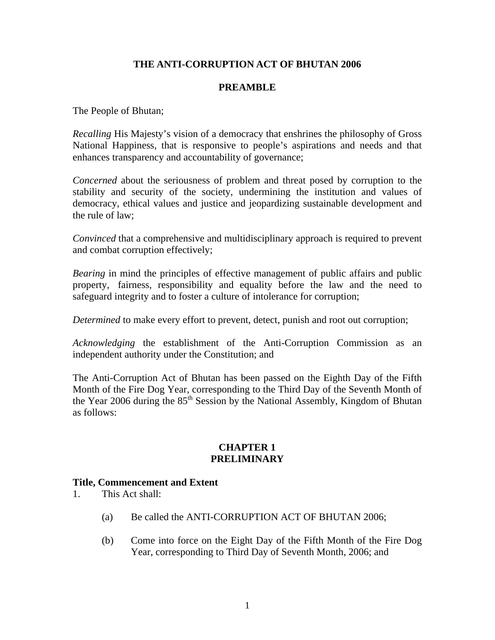# **THE ANTI-CORRUPTION ACT OF BHUTAN 2006**

### **PREAMBLE**

The People of Bhutan;

*Recalling* His Majesty's vision of a democracy that enshrines the philosophy of Gross National Happiness, that is responsive to people's aspirations and needs and that enhances transparency and accountability of governance;

*Concerned* about the seriousness of problem and threat posed by corruption to the stability and security of the society, undermining the institution and values of democracy, ethical values and justice and jeopardizing sustainable development and the rule of law;

*Convinced* that a comprehensive and multidisciplinary approach is required to prevent and combat corruption effectively;

*Bearing* in mind the principles of effective management of public affairs and public property, fairness, responsibility and equality before the law and the need to safeguard integrity and to foster a culture of intolerance for corruption;

*Determined* to make every effort to prevent, detect, punish and root out corruption;

*Acknowledging* the establishment of the Anti-Corruption Commission as an independent authority under the Constitution; and

The Anti-Corruption Act of Bhutan has been passed on the Eighth Day of the Fifth Month of the Fire Dog Year, corresponding to the Third Day of the Seventh Month of the Year 2006 during the 85<sup>th</sup> Session by the National Assembly, Kingdom of Bhutan as follows:

#### **CHAPTER 1 PRELIMINARY**

## **Title, Commencement and Extent**

- 1. This Act shall:
	- (a) Be called the ANTI-CORRUPTION ACT OF BHUTAN 2006;
	- (b) Come into force on the Eight Day of the Fifth Month of the Fire Dog Year, corresponding to Third Day of Seventh Month, 2006; and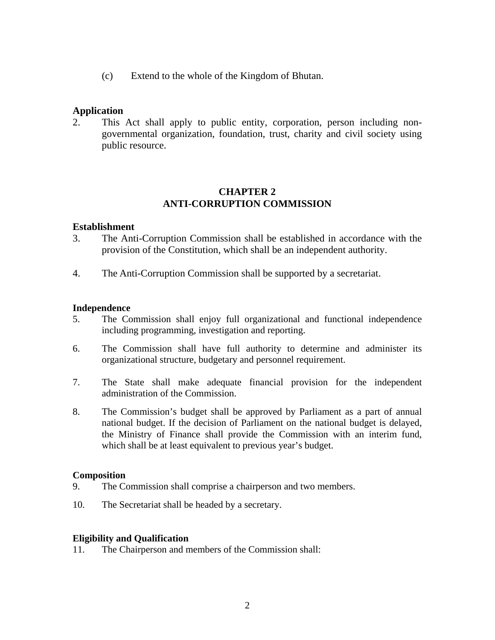(c) Extend to the whole of the Kingdom of Bhutan.

## **Application**

2. This Act shall apply to public entity, corporation, person including nongovernmental organization, foundation, trust, charity and civil society using public resource.

## **CHAPTER 2 ANTI-CORRUPTION COMMISSION**

### **Establishment**

- 3. The Anti-Corruption Commission shall be established in accordance with the provision of the Constitution, which shall be an independent authority.
- 4. The Anti-Corruption Commission shall be supported by a secretariat.

#### **Independence**

- 5. The Commission shall enjoy full organizational and functional independence including programming, investigation and reporting.
- 6. The Commission shall have full authority to determine and administer its organizational structure, budgetary and personnel requirement.
- 7. The State shall make adequate financial provision for the independent administration of the Commission.
- 8. The Commission's budget shall be approved by Parliament as a part of annual national budget. If the decision of Parliament on the national budget is delayed, the Ministry of Finance shall provide the Commission with an interim fund, which shall be at least equivalent to previous year's budget.

#### **Composition**

- 9. The Commission shall comprise a chairperson and two members.
- 10. The Secretariat shall be headed by a secretary.

#### **Eligibility and Qualification**

11. The Chairperson and members of the Commission shall: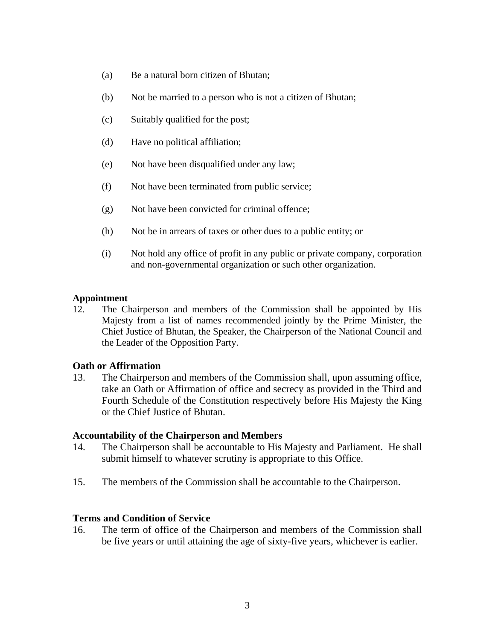- (a) Be a natural born citizen of Bhutan;
- (b) Not be married to a person who is not a citizen of Bhutan;
- (c) Suitably qualified for the post;
- (d) Have no political affiliation;
- (e) Not have been disqualified under any law;
- (f) Not have been terminated from public service;
- (g) Not have been convicted for criminal offence;
- (h) Not be in arrears of taxes or other dues to a public entity; or
- (i) Not hold any office of profit in any public or private company, corporation and non-governmental organization or such other organization.

#### **Appointment**

12. The Chairperson and members of the Commission shall be appointed by His Majesty from a list of names recommended jointly by the Prime Minister, the Chief Justice of Bhutan, the Speaker, the Chairperson of the National Council and the Leader of the Opposition Party.

#### **Oath or Affirmation**

13. The Chairperson and members of the Commission shall, upon assuming office, take an Oath or Affirmation of office and secrecy as provided in the Third and Fourth Schedule of the Constitution respectively before His Majesty the King or the Chief Justice of Bhutan.

#### **Accountability of the Chairperson and Members**

- 14. The Chairperson shall be accountable to His Majesty and Parliament. He shall submit himself to whatever scrutiny is appropriate to this Office.
- 15. The members of the Commission shall be accountable to the Chairperson.

### **Terms and Condition of Service**

16. The term of office of the Chairperson and members of the Commission shall be five years or until attaining the age of sixty-five years, whichever is earlier.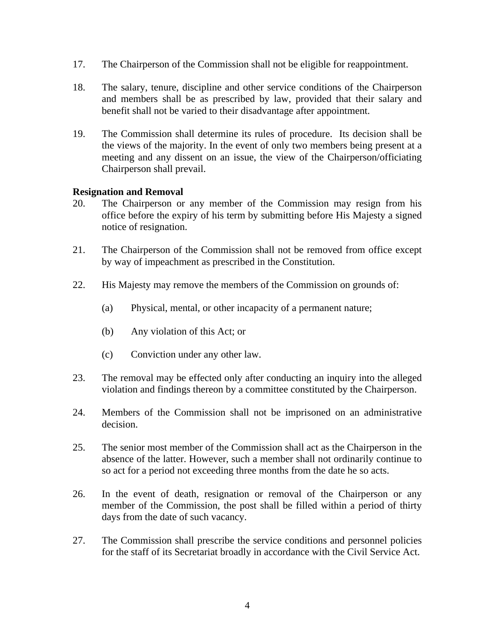- 17. The Chairperson of the Commission shall not be eligible for reappointment.
- 18. The salary, tenure, discipline and other service conditions of the Chairperson and members shall be as prescribed by law, provided that their salary and benefit shall not be varied to their disadvantage after appointment.
- 19. The Commission shall determine its rules of procedure. Its decision shall be the views of the majority. In the event of only two members being present at a meeting and any dissent on an issue, the view of the Chairperson/officiating Chairperson shall prevail.

## **Resignation and Removal**

- 20. The Chairperson or any member of the Commission may resign from his office before the expiry of his term by submitting before His Majesty a signed notice of resignation.
- 21. The Chairperson of the Commission shall not be removed from office except by way of impeachment as prescribed in the Constitution.
- 22. His Majesty may remove the members of the Commission on grounds of:
	- (a) Physical, mental, or other incapacity of a permanent nature;
	- (b) Any violation of this Act; or
	- (c) Conviction under any other law.
- 23. The removal may be effected only after conducting an inquiry into the alleged violation and findings thereon by a committee constituted by the Chairperson.
- 24. Members of the Commission shall not be imprisoned on an administrative decision.
- 25. The senior most member of the Commission shall act as the Chairperson in the absence of the latter. However, such a member shall not ordinarily continue to so act for a period not exceeding three months from the date he so acts.
- 26. In the event of death, resignation or removal of the Chairperson or any member of the Commission, the post shall be filled within a period of thirty days from the date of such vacancy.
- 27. The Commission shall prescribe the service conditions and personnel policies for the staff of its Secretariat broadly in accordance with the Civil Service Act.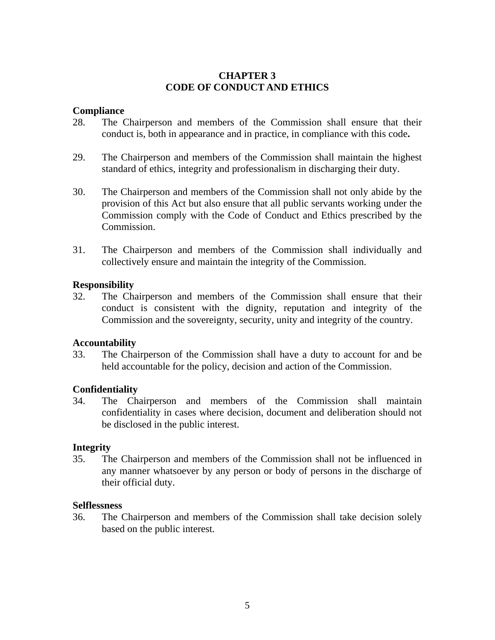## **CHAPTER 3 CODE OF CONDUCT AND ETHICS**

### **Compliance**

- 28. The Chairperson and members of the Commission shall ensure that their conduct is, both in appearance and in practice, in compliance with this code**.**
- 29. The Chairperson and members of the Commission shall maintain the highest standard of ethics, integrity and professionalism in discharging their duty.
- 30. The Chairperson and members of the Commission shall not only abide by the provision of this Act but also ensure that all public servants working under the Commission comply with the Code of Conduct and Ethics prescribed by the Commission.
- 31. The Chairperson and members of the Commission shall individually and collectively ensure and maintain the integrity of the Commission.

### **Responsibility**

32. The Chairperson and members of the Commission shall ensure that their conduct is consistent with the dignity, reputation and integrity of the Commission and the sovereignty, security, unity and integrity of the country.

## **Accountability**

33. The Chairperson of the Commission shall have a duty to account for and be held accountable for the policy, decision and action of the Commission.

## **Confidentiality**

34. The Chairperson and members of the Commission shall maintain confidentiality in cases where decision, document and deliberation should not be disclosed in the public interest.

## **Integrity**

35. The Chairperson and members of the Commission shall not be influenced in any manner whatsoever by any person or body of persons in the discharge of their official duty.

#### **Selflessness**

36. The Chairperson and members of the Commission shall take decision solely based on the public interest.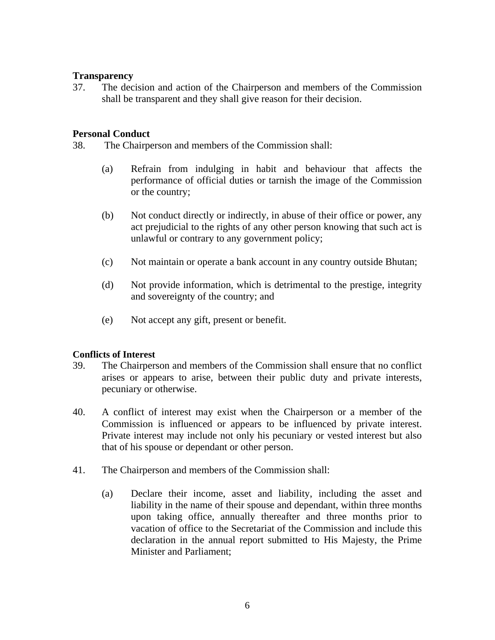## **Transparency**

37. The decision and action of the Chairperson and members of the Commission shall be transparent and they shall give reason for their decision.

### **Personal Conduct**

38. The Chairperson and members of the Commission shall:

- (a) Refrain from indulging in habit and behaviour that affects the performance of official duties or tarnish the image of the Commission or the country;
- (b) Not conduct directly or indirectly, in abuse of their office or power, any act prejudicial to the rights of any other person knowing that such act is unlawful or contrary to any government policy;
- (c) Not maintain or operate a bank account in any country outside Bhutan;
- (d) Not provide information, which is detrimental to the prestige, integrity and sovereignty of the country; and
- (e) Not accept any gift, present or benefit.

## **Conflicts of Interest**

- 39. The Chairperson and members of the Commission shall ensure that no conflict arises or appears to arise, between their public duty and private interests, pecuniary or otherwise.
- 40. A conflict of interest may exist when the Chairperson or a member of the Commission is influenced or appears to be influenced by private interest. Private interest may include not only his pecuniary or vested interest but also that of his spouse or dependant or other person.
- 41. The Chairperson and members of the Commission shall:
	- (a) Declare their income, asset and liability, including the asset and liability in the name of their spouse and dependant, within three months upon taking office, annually thereafter and three months prior to vacation of office to the Secretariat of the Commission and include this declaration in the annual report submitted to His Majesty, the Prime Minister and Parliament;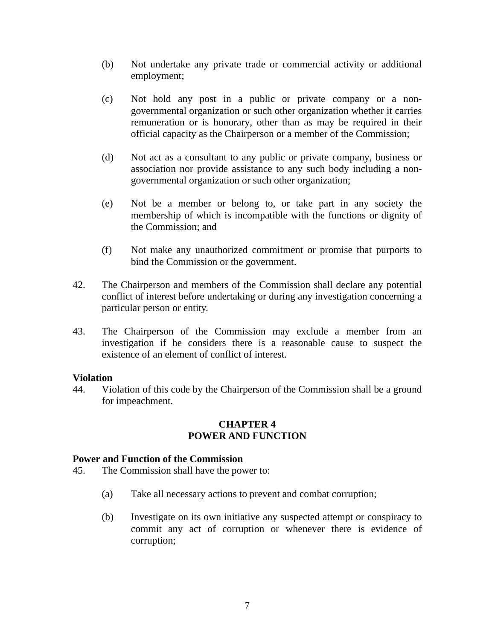- (b) Not undertake any private trade or commercial activity or additional employment;
- (c) Not hold any post in a public or private company or a nongovernmental organization or such other organization whether it carries remuneration or is honorary, other than as may be required in their official capacity as the Chairperson or a member of the Commission;
- (d) Not act as a consultant to any public or private company, business or association nor provide assistance to any such body including a nongovernmental organization or such other organization;
- (e) Not be a member or belong to, or take part in any society the membership of which is incompatible with the functions or dignity of the Commission; and
- (f) Not make any unauthorized commitment or promise that purports to bind the Commission or the government.
- 42. The Chairperson and members of the Commission shall declare any potential conflict of interest before undertaking or during any investigation concerning a particular person or entity.
- 43. The Chairperson of the Commission may exclude a member from an investigation if he considers there is a reasonable cause to suspect the existence of an element of conflict of interest.

#### **Violation**

44. Violation of this code by the Chairperson of the Commission shall be a ground for impeachment.

### **CHAPTER 4 POWER AND FUNCTION**

#### **Power and Function of the Commission**

- 45. The Commission shall have the power to:
	- (a) Take all necessary actions to prevent and combat corruption;
	- (b) Investigate on its own initiative any suspected attempt or conspiracy to commit any act of corruption or whenever there is evidence of corruption;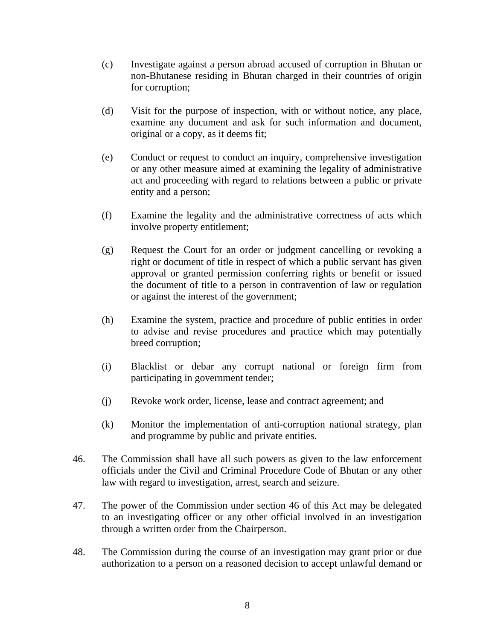- (c) Investigate against a person abroad accused of corruption in Bhutan or non-Bhutanese residing in Bhutan charged in their countries of origin for corruption;
- (d) Visit for the purpose of inspection, with or without notice, any place, examine any document and ask for such information and document, original or a copy, as it deems fit;
- (e) Conduct or request to conduct an inquiry, comprehensive investigation or any other measure aimed at examining the legality of administrative act and proceeding with regard to relations between a public or private entity and a person;
- (f) Examine the legality and the administrative correctness of acts which involve property entitlement;
- (g) Request the Court for an order or judgment cancelling or revoking a right or document of title in respect of which a public servant has given approval or granted permission conferring rights or benefit or issued the document of title to a person in contravention of law or regulation or against the interest of the government;
- (h) Examine the system, practice and procedure of public entities in order to advise and revise procedures and practice which may potentially breed corruption;
- (i) Blacklist or debar any corrupt national or foreign firm from participating in government tender;
- (j) Revoke work order, license, lease and contract agreement; and
- (k) Monitor the implementation of anti-corruption national strategy, plan and programme by public and private entities.
- 46. The Commission shall have all such powers as given to the law enforcement officials under the Civil and Criminal Procedure Code of Bhutan or any other law with regard to investigation, arrest, search and seizure.
- 47. The power of the Commission under section 46 of this Act may be delegated to an investigating officer or any other official involved in an investigation through a written order from the Chairperson.
- 48. The Commission during the course of an investigation may grant prior or due authorization to a person on a reasoned decision to accept unlawful demand or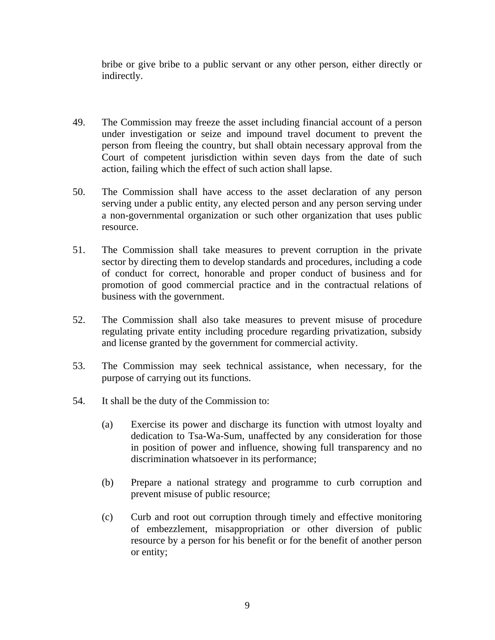bribe or give bribe to a public servant or any other person, either directly or indirectly.

- 49. The Commission may freeze the asset including financial account of a person under investigation or seize and impound travel document to prevent the person from fleeing the country, but shall obtain necessary approval from the Court of competent jurisdiction within seven days from the date of such action, failing which the effect of such action shall lapse.
- 50. The Commission shall have access to the asset declaration of any person serving under a public entity, any elected person and any person serving under a non-governmental organization or such other organization that uses public resource.
- 51. The Commission shall take measures to prevent corruption in the private sector by directing them to develop standards and procedures, including a code of conduct for correct, honorable and proper conduct of business and for promotion of good commercial practice and in the contractual relations of business with the government.
- 52. The Commission shall also take measures to prevent misuse of procedure regulating private entity including procedure regarding privatization, subsidy and license granted by the government for commercial activity.
- 53. The Commission may seek technical assistance, when necessary, for the purpose of carrying out its functions.
- 54. It shall be the duty of the Commission to:
	- (a) Exercise its power and discharge its function with utmost loyalty and dedication to Tsa-Wa-Sum, unaffected by any consideration for those in position of power and influence, showing full transparency and no discrimination whatsoever in its performance;
	- (b) Prepare a national strategy and programme to curb corruption and prevent misuse of public resource;
	- (c) Curb and root out corruption through timely and effective monitoring of embezzlement, misappropriation or other diversion of public resource by a person for his benefit or for the benefit of another person or entity;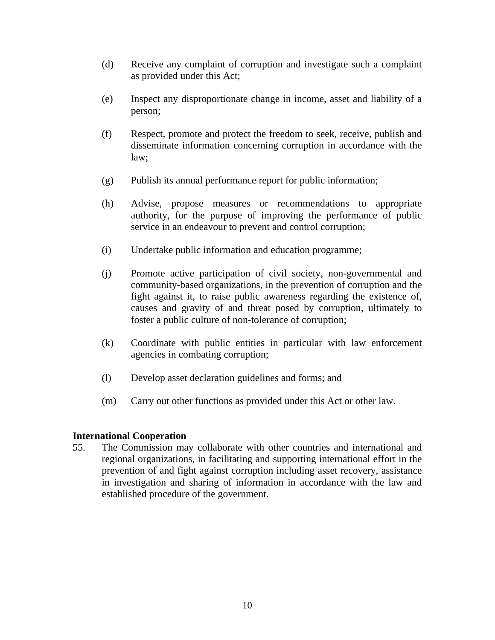- (d) Receive any complaint of corruption and investigate such a complaint as provided under this Act;
- (e) Inspect any disproportionate change in income, asset and liability of a person;
- (f) Respect, promote and protect the freedom to seek, receive, publish and disseminate information concerning corruption in accordance with the law;
- (g) Publish its annual performance report for public information;
- (h) Advise, propose measures or recommendations to appropriate authority, for the purpose of improving the performance of public service in an endeavour to prevent and control corruption;
- (i) Undertake public information and education programme;
- (j) Promote active participation of civil society, non-governmental and community-based organizations, in the prevention of corruption and the fight against it, to raise public awareness regarding the existence of, causes and gravity of and threat posed by corruption, ultimately to foster a public culture of non-tolerance of corruption;
- (k) Coordinate with public entities in particular with law enforcement agencies in combating corruption;
- (l) Develop asset declaration guidelines and forms; and
- (m) Carry out other functions as provided under this Act or other law.

# **International Cooperation**

55. The Commission may collaborate with other countries and international and regional organizations, in facilitating and supporting international effort in the prevention of and fight against corruption including asset recovery, assistance in investigation and sharing of information in accordance with the law and established procedure of the government.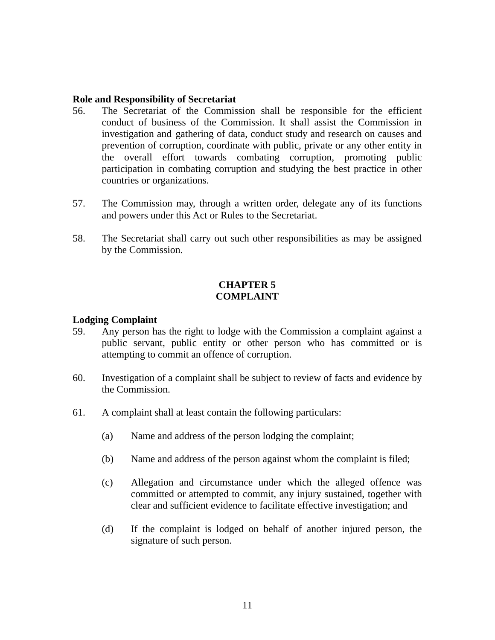### **Role and Responsibility of Secretariat**

- 56. The Secretariat of the Commission shall be responsible for the efficient conduct of business of the Commission. It shall assist the Commission in investigation and gathering of data, conduct study and research on causes and prevention of corruption, coordinate with public, private or any other entity in the overall effort towards combating corruption, promoting public participation in combating corruption and studying the best practice in other countries or organizations.
- 57. The Commission may, through a written order, delegate any of its functions and powers under this Act or Rules to the Secretariat.
- 58. The Secretariat shall carry out such other responsibilities as may be assigned by the Commission.

## **CHAPTER 5 COMPLAINT**

### **Lodging Complaint**

- 59. Any person has the right to lodge with the Commission a complaint against a public servant, public entity or other person who has committed or is attempting to commit an offence of corruption.
- 60. Investigation of a complaint shall be subject to review of facts and evidence by the Commission.
- 61. A complaint shall at least contain the following particulars:
	- (a) Name and address of the person lodging the complaint;
	- (b) Name and address of the person against whom the complaint is filed;
	- (c) Allegation and circumstance under which the alleged offence was committed or attempted to commit, any injury sustained, together with clear and sufficient evidence to facilitate effective investigation; and
	- (d) If the complaint is lodged on behalf of another injured person, the signature of such person.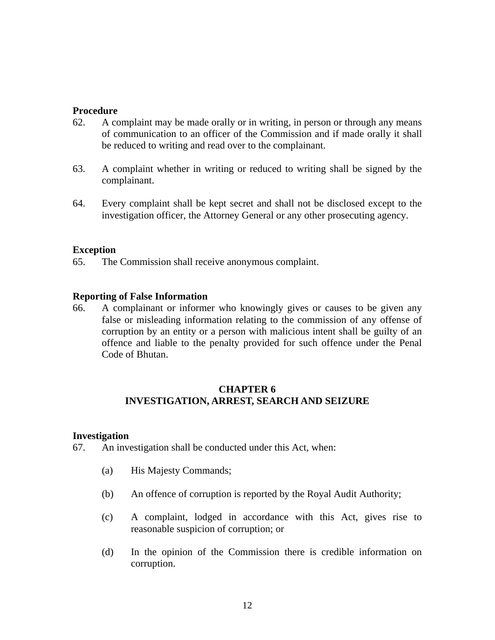### **Procedure**

- 62. A complaint may be made orally or in writing, in person or through any means of communication to an officer of the Commission and if made orally it shall be reduced to writing and read over to the complainant.
- 63. A complaint whether in writing or reduced to writing shall be signed by the complainant.
- 64. Every complaint shall be kept secret and shall not be disclosed except to the investigation officer, the Attorney General or any other prosecuting agency.

### **Exception**

65. The Commission shall receive anonymous complaint.

### **Reporting of False Information**

66. A complainant or informer who knowingly gives or causes to be given any false or misleading information relating to the commission of any offense of corruption by an entity or a person with malicious intent shall be guilty of an offence and liable to the penalty provided for such offence under the Penal Code of Bhutan.

## **CHAPTER 6 INVESTIGATION, ARREST, SEARCH AND SEIZURE**

#### **Investigation**

- 67. An investigation shall be conducted under this Act, when:
	- (a) His Majesty Commands;
	- (b) An offence of corruption is reported by the Royal Audit Authority;
	- (c) A complaint, lodged in accordance with this Act, gives rise to reasonable suspicion of corruption; or
	- (d) In the opinion of the Commission there is credible information on corruption.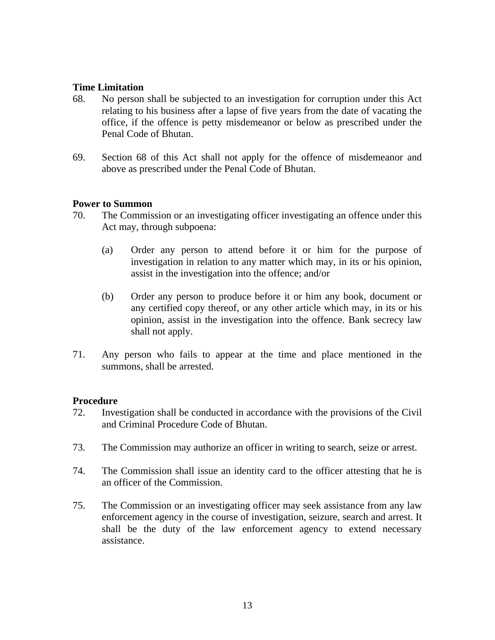### **Time Limitation**

- 68. No person shall be subjected to an investigation for corruption under this Act relating to his business after a lapse of five years from the date of vacating the office, if the offence is petty misdemeanor or below as prescribed under the Penal Code of Bhutan.
- 69. Section 68 of this Act shall not apply for the offence of misdemeanor and above as prescribed under the Penal Code of Bhutan.

#### **Power to Summon**

- 70. The Commission or an investigating officer investigating an offence under this Act may, through subpoena:
	- (a) Order any person to attend before it or him for the purpose of investigation in relation to any matter which may, in its or his opinion, assist in the investigation into the offence; and/or
	- (b) Order any person to produce before it or him any book, document or any certified copy thereof, or any other article which may, in its or his opinion, assist in the investigation into the offence. Bank secrecy law shall not apply.
- 71. Any person who fails to appear at the time and place mentioned in the summons, shall be arrested.

#### **Procedure**

- 72. Investigation shall be conducted in accordance with the provisions of the Civil and Criminal Procedure Code of Bhutan.
- 73. The Commission may authorize an officer in writing to search, seize or arrest.
- 74. The Commission shall issue an identity card to the officer attesting that he is an officer of the Commission.
- 75. The Commission or an investigating officer may seek assistance from any law enforcement agency in the course of investigation, seizure, search and arrest. It shall be the duty of the law enforcement agency to extend necessary assistance.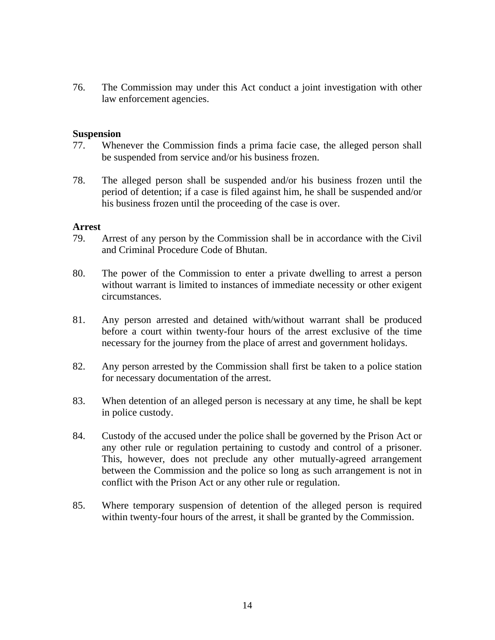76. The Commission may under this Act conduct a joint investigation with other law enforcement agencies.

### **Suspension**

- 77. Whenever the Commission finds a prima facie case, the alleged person shall be suspended from service and/or his business frozen.
- 78. The alleged person shall be suspended and/or his business frozen until the period of detention; if a case is filed against him, he shall be suspended and/or his business frozen until the proceeding of the case is over.

#### **Arrest**

- 79. Arrest of any person by the Commission shall be in accordance with the Civil and Criminal Procedure Code of Bhutan.
- 80. The power of the Commission to enter a private dwelling to arrest a person without warrant is limited to instances of immediate necessity or other exigent circumstances.
- 81. Any person arrested and detained with/without warrant shall be produced before a court within twenty-four hours of the arrest exclusive of the time necessary for the journey from the place of arrest and government holidays.
- 82. Any person arrested by the Commission shall first be taken to a police station for necessary documentation of the arrest.
- 83. When detention of an alleged person is necessary at any time, he shall be kept in police custody.
- 84. Custody of the accused under the police shall be governed by the Prison Act or any other rule or regulation pertaining to custody and control of a prisoner. This, however, does not preclude any other mutually-agreed arrangement between the Commission and the police so long as such arrangement is not in conflict with the Prison Act or any other rule or regulation.
- 85. Where temporary suspension of detention of the alleged person is required within twenty-four hours of the arrest, it shall be granted by the Commission.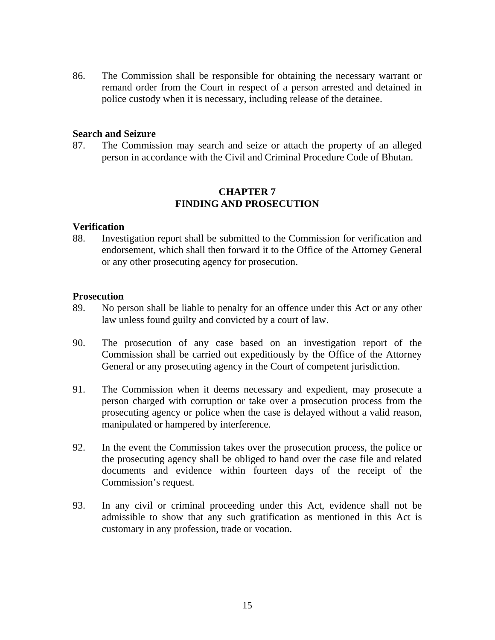86. The Commission shall be responsible for obtaining the necessary warrant or remand order from the Court in respect of a person arrested and detained in police custody when it is necessary, including release of the detainee.

#### **Search and Seizure**

87. The Commission may search and seize or attach the property of an alleged person in accordance with the Civil and Criminal Procedure Code of Bhutan.

# **CHAPTER 7 FINDING AND PROSECUTION**

#### **Verification**

88. Investigation report shall be submitted to the Commission for verification and endorsement, which shall then forward it to the Office of the Attorney General or any other prosecuting agency for prosecution.

### **Prosecution**

- 89. No person shall be liable to penalty for an offence under this Act or any other law unless found guilty and convicted by a court of law.
- 90. The prosecution of any case based on an investigation report of the Commission shall be carried out expeditiously by the Office of the Attorney General or any prosecuting agency in the Court of competent jurisdiction.
- 91. The Commission when it deems necessary and expedient, may prosecute a person charged with corruption or take over a prosecution process from the prosecuting agency or police when the case is delayed without a valid reason, manipulated or hampered by interference.
- 92. In the event the Commission takes over the prosecution process, the police or the prosecuting agency shall be obliged to hand over the case file and related documents and evidence within fourteen days of the receipt of the Commission's request.
- 93. In any civil or criminal proceeding under this Act, evidence shall not be admissible to show that any such gratification as mentioned in this Act is customary in any profession, trade or vocation.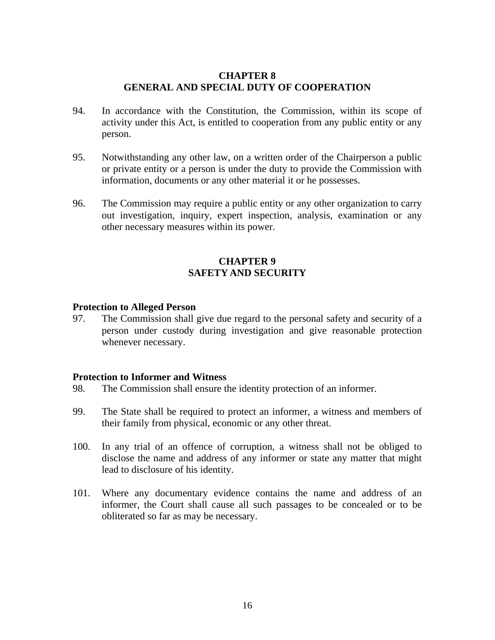### **CHAPTER 8 GENERAL AND SPECIAL DUTY OF COOPERATION**

- 94. In accordance with the Constitution, the Commission, within its scope of activity under this Act, is entitled to cooperation from any public entity or any person.
- 95. Notwithstanding any other law, on a written order of the Chairperson a public or private entity or a person is under the duty to provide the Commission with information, documents or any other material it or he possesses.
- 96. The Commission may require a public entity or any other organization to carry out investigation, inquiry, expert inspection, analysis, examination or any other necessary measures within its power.

## **CHAPTER 9 SAFETY AND SECURITY**

#### **Protection to Alleged Person**

97. The Commission shall give due regard to the personal safety and security of a person under custody during investigation and give reasonable protection whenever necessary.

#### **Protection to Informer and Witness**

- 98. The Commission shall ensure the identity protection of an informer.
- 99. The State shall be required to protect an informer, a witness and members of their family from physical, economic or any other threat.
- 100. In any trial of an offence of corruption, a witness shall not be obliged to disclose the name and address of any informer or state any matter that might lead to disclosure of his identity.
- 101. Where any documentary evidence contains the name and address of an informer, the Court shall cause all such passages to be concealed or to be obliterated so far as may be necessary.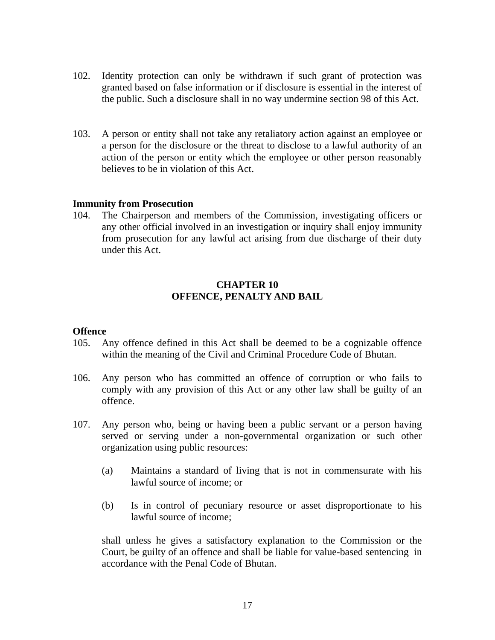- 102. Identity protection can only be withdrawn if such grant of protection was granted based on false information or if disclosure is essential in the interest of the public. Such a disclosure shall in no way undermine section 98 of this Act.
- 103. A person or entity shall not take any retaliatory action against an employee or a person for the disclosure or the threat to disclose to a lawful authority of an action of the person or entity which the employee or other person reasonably believes to be in violation of this Act.

#### **Immunity from Prosecution**

104. The Chairperson and members of the Commission, investigating officers or any other official involved in an investigation or inquiry shall enjoy immunity from prosecution for any lawful act arising from due discharge of their duty under this Act.

### **CHAPTER 10 OFFENCE, PENALTY AND BAIL**

#### **Offence**

- 105. Any offence defined in this Act shall be deemed to be a cognizable offence within the meaning of the Civil and Criminal Procedure Code of Bhutan.
- 106. Any person who has committed an offence of corruption or who fails to comply with any provision of this Act or any other law shall be guilty of an offence.
- 107. Any person who, being or having been a public servant or a person having served or serving under a non-governmental organization or such other organization using public resources:
	- (a) Maintains a standard of living that is not in commensurate with his lawful source of income; or
	- (b) Is in control of pecuniary resource or asset disproportionate to his lawful source of income;

shall unless he gives a satisfactory explanation to the Commission or the Court, be guilty of an offence and shall be liable for value-based sentencing in accordance with the Penal Code of Bhutan.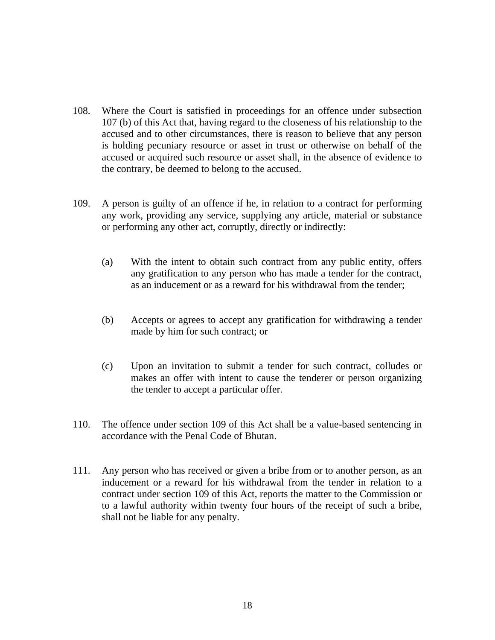- 108. Where the Court is satisfied in proceedings for an offence under subsection 107 (b) of this Act that, having regard to the closeness of his relationship to the accused and to other circumstances, there is reason to believe that any person is holding pecuniary resource or asset in trust or otherwise on behalf of the accused or acquired such resource or asset shall, in the absence of evidence to the contrary, be deemed to belong to the accused.
- 109. A person is guilty of an offence if he, in relation to a contract for performing any work, providing any service, supplying any article, material or substance or performing any other act, corruptly, directly or indirectly:
	- (a) With the intent to obtain such contract from any public entity, offers any gratification to any person who has made a tender for the contract, as an inducement or as a reward for his withdrawal from the tender;
	- (b) Accepts or agrees to accept any gratification for withdrawing a tender made by him for such contract; or
	- (c) Upon an invitation to submit a tender for such contract, colludes or makes an offer with intent to cause the tenderer or person organizing the tender to accept a particular offer.
- 110. The offence under section 109 of this Act shall be a value-based sentencing in accordance with the Penal Code of Bhutan.
- 111. Any person who has received or given a bribe from or to another person, as an inducement or a reward for his withdrawal from the tender in relation to a contract under section 109 of this Act, reports the matter to the Commission or to a lawful authority within twenty four hours of the receipt of such a bribe, shall not be liable for any penalty.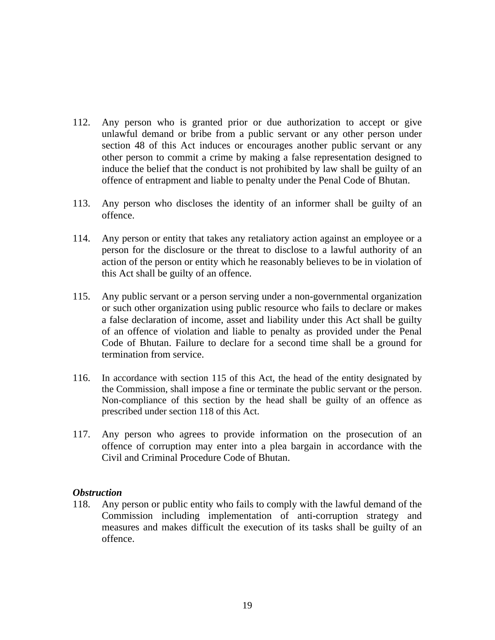- 112. Any person who is granted prior or due authorization to accept or give unlawful demand or bribe from a public servant or any other person under section 48 of this Act induces or encourages another public servant or any other person to commit a crime by making a false representation designed to induce the belief that the conduct is not prohibited by law shall be guilty of an offence of entrapment and liable to penalty under the Penal Code of Bhutan.
- 113. Any person who discloses the identity of an informer shall be guilty of an offence.
- 114. Any person or entity that takes any retaliatory action against an employee or a person for the disclosure or the threat to disclose to a lawful authority of an action of the person or entity which he reasonably believes to be in violation of this Act shall be guilty of an offence.
- 115. Any public servant or a person serving under a non-governmental organization or such other organization using public resource who fails to declare or makes a false declaration of income, asset and liability under this Act shall be guilty of an offence of violation and liable to penalty as provided under the Penal Code of Bhutan. Failure to declare for a second time shall be a ground for termination from service.
- 116. In accordance with section 115 of this Act, the head of the entity designated by the Commission, shall impose a fine or terminate the public servant or the person. Non-compliance of this section by the head shall be guilty of an offence as prescribed under section 118 of this Act.
- 117. Any person who agrees to provide information on the prosecution of an offence of corruption may enter into a plea bargain in accordance with the Civil and Criminal Procedure Code of Bhutan.

## *Obstruction*

118. Any person or public entity who fails to comply with the lawful demand of the Commission including implementation of anti-corruption strategy and measures and makes difficult the execution of its tasks shall be guilty of an offence.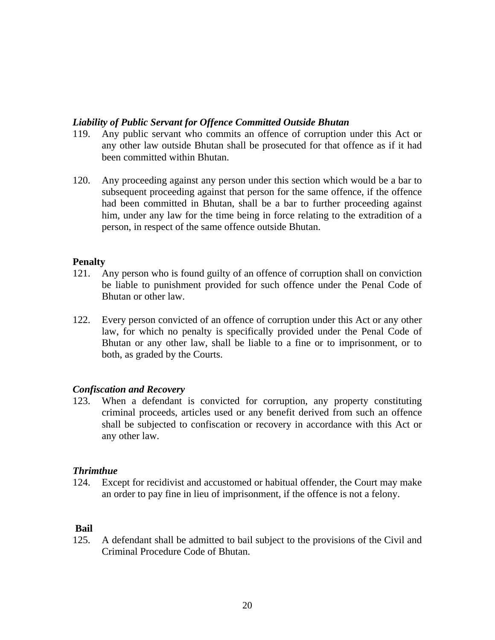### *Liability of Public Servant for Offence Committed Outside Bhutan*

- 119. Any public servant who commits an offence of corruption under this Act or any other law outside Bhutan shall be prosecuted for that offence as if it had been committed within Bhutan.
- 120. Any proceeding against any person under this section which would be a bar to subsequent proceeding against that person for the same offence, if the offence had been committed in Bhutan, shall be a bar to further proceeding against him, under any law for the time being in force relating to the extradition of a person, in respect of the same offence outside Bhutan.

### **Penalty**

- 121. Any person who is found guilty of an offence of corruption shall on conviction be liable to punishment provided for such offence under the Penal Code of Bhutan or other law.
- 122. Every person convicted of an offence of corruption under this Act or any other law, for which no penalty is specifically provided under the Penal Code of Bhutan or any other law, shall be liable to a fine or to imprisonment, or to both, as graded by the Courts.

## *Confiscation and Recovery*

123. When a defendant is convicted for corruption, any property constituting criminal proceeds, articles used or any benefit derived from such an offence shall be subjected to confiscation or recovery in accordance with this Act or any other law.

## *Thrimthue*

124. Except for recidivist and accustomed or habitual offender, the Court may make an order to pay fine in lieu of imprisonment, if the offence is not a felony.

## **Bail**

125. A defendant shall be admitted to bail subject to the provisions of the Civil and Criminal Procedure Code of Bhutan.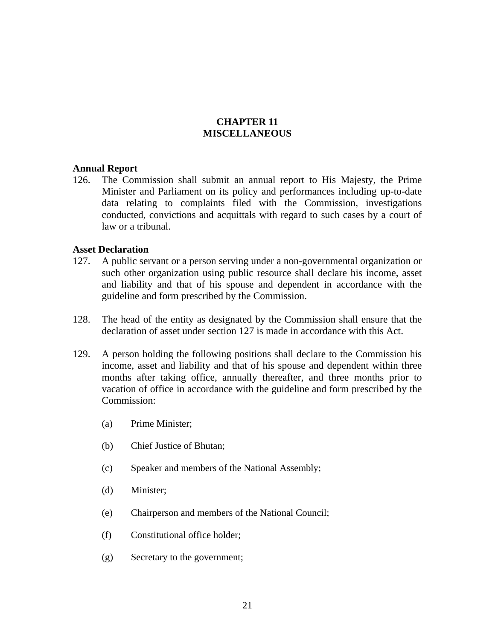## **CHAPTER 11 MISCELLANEOUS**

### **Annual Report**

126. The Commission shall submit an annual report to His Majesty, the Prime Minister and Parliament on its policy and performances including up-to-date data relating to complaints filed with the Commission, investigations conducted, convictions and acquittals with regard to such cases by a court of law or a tribunal.

### **Asset Declaration**

- 127. A public servant or a person serving under a non-governmental organization or such other organization using public resource shall declare his income, asset and liability and that of his spouse and dependent in accordance with the guideline and form prescribed by the Commission.
- 128. The head of the entity as designated by the Commission shall ensure that the declaration of asset under section 127 is made in accordance with this Act.
- 129. A person holding the following positions shall declare to the Commission his income, asset and liability and that of his spouse and dependent within three months after taking office, annually thereafter, and three months prior to vacation of office in accordance with the guideline and form prescribed by the Commission:
	- (a) Prime Minister;
	- (b) Chief Justice of Bhutan;
	- (c) Speaker and members of the National Assembly;
	- (d) Minister;
	- (e) Chairperson and members of the National Council;
	- (f) Constitutional office holder;
	- (g) Secretary to the government;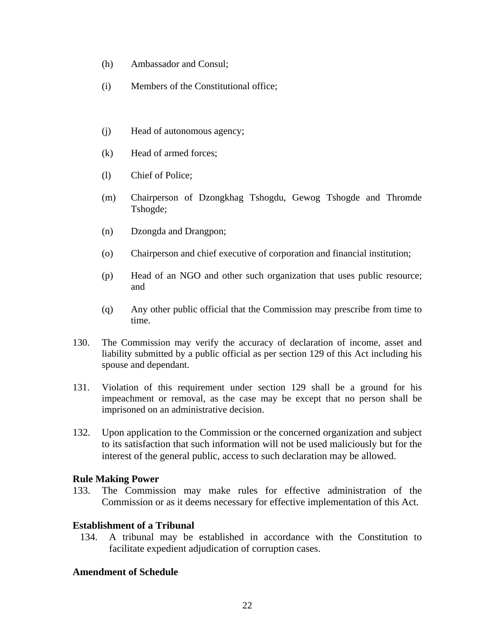- (h) Ambassador and Consul;
- (i) Members of the Constitutional office;
- (j) Head of autonomous agency;
- (k) Head of armed forces;
- (l) Chief of Police;
- (m) Chairperson of Dzongkhag Tshogdu, Gewog Tshogde and Thromde Tshogde;
- (n) Dzongda and Drangpon;
- (o) Chairperson and chief executive of corporation and financial institution;
- (p) Head of an NGO and other such organization that uses public resource; and
- (q) Any other public official that the Commission may prescribe from time to time.
- 130. The Commission may verify the accuracy of declaration of income, asset and liability submitted by a public official as per section 129 of this Act including his spouse and dependant.
- 131. Violation of this requirement under section 129 shall be a ground for his impeachment or removal, as the case may be except that no person shall be imprisoned on an administrative decision.
- 132. Upon application to the Commission or the concerned organization and subject to its satisfaction that such information will not be used maliciously but for the interest of the general public, access to such declaration may be allowed.

## **Rule Making Power**

133. The Commission may make rules for effective administration of the Commission or as it deems necessary for effective implementation of this Act.

## **Establishment of a Tribunal**

134. A tribunal may be established in accordance with the Constitution to facilitate expedient adjudication of corruption cases.

## **Amendment of Schedule**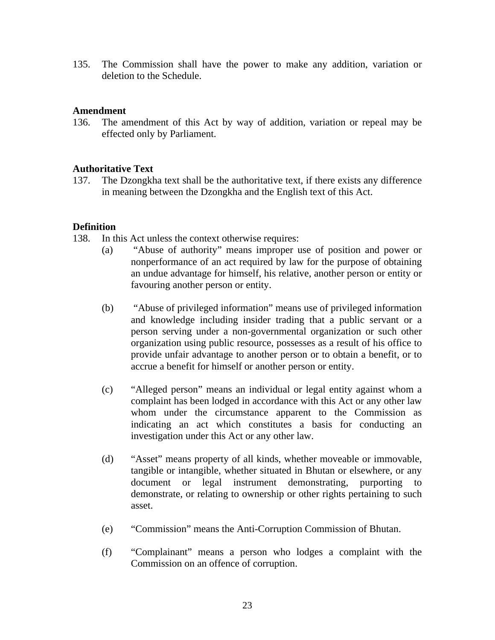135. The Commission shall have the power to make any addition, variation or deletion to the Schedule.

### **Amendment**

136. The amendment of this Act by way of addition, variation or repeal may be effected only by Parliament.

## **Authoritative Text**

137. The Dzongkha text shall be the authoritative text, if there exists any difference in meaning between the Dzongkha and the English text of this Act.

### **Definition**

138. In this Act unless the context otherwise requires:

- (a) "Abuse of authority" means improper use of position and power or nonperformance of an act required by law for the purpose of obtaining an undue advantage for himself, his relative, another person or entity or favouring another person or entity.
- (b) "Abuse of privileged information" means use of privileged information and knowledge including insider trading that a public servant or a person serving under a non-governmental organization or such other organization using public resource, possesses as a result of his office to provide unfair advantage to another person or to obtain a benefit, or to accrue a benefit for himself or another person or entity.
- (c) "Alleged person" means an individual or legal entity against whom a complaint has been lodged in accordance with this Act or any other law whom under the circumstance apparent to the Commission as indicating an act which constitutes a basis for conducting an investigation under this Act or any other law.
- (d) "Asset" means property of all kinds, whether moveable or immovable, tangible or intangible, whether situated in Bhutan or elsewhere, or any document or legal instrument demonstrating, purporting to demonstrate, or relating to ownership or other rights pertaining to such asset.
- (e) "Commission" means the Anti-Corruption Commission of Bhutan.
- (f) "Complainant" means a person who lodges a complaint with the Commission on an offence of corruption.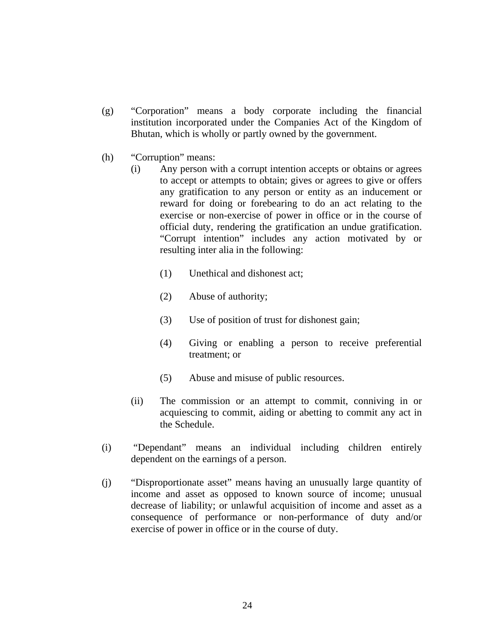- (g) "Corporation" means a body corporate including the financial institution incorporated under the Companies Act of the Kingdom of Bhutan, which is wholly or partly owned by the government.
- (h) "Corruption" means:
	- (i) Any person with a corrupt intention accepts or obtains or agrees to accept or attempts to obtain; gives or agrees to give or offers any gratification to any person or entity as an inducement or reward for doing or forebearing to do an act relating to the exercise or non-exercise of power in office or in the course of official duty, rendering the gratification an undue gratification. "Corrupt intention" includes any action motivated by or resulting inter alia in the following:
		- (1) Unethical and dishonest act;
		- (2) Abuse of authority;
		- (3) Use of position of trust for dishonest gain;
		- (4) Giving or enabling a person to receive preferential treatment; or
		- (5) Abuse and misuse of public resources.
	- (ii) The commission or an attempt to commit, conniving in or acquiescing to commit, aiding or abetting to commit any act in the Schedule.
- (i) "Dependant" means an individual including children entirely dependent on the earnings of a person.
- (j) "Disproportionate asset" means having an unusually large quantity of income and asset as opposed to known source of income; unusual decrease of liability; or unlawful acquisition of income and asset as a consequence of performance or non-performance of duty and/or exercise of power in office or in the course of duty.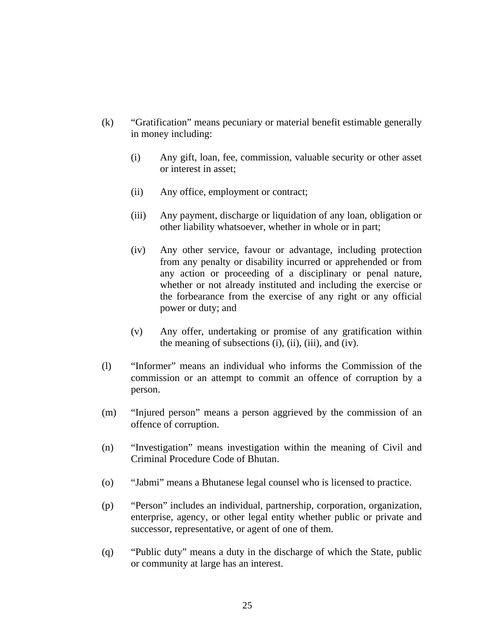- (k) "Gratification" means pecuniary or material benefit estimable generally in money including:
	- (i) Any gift, loan, fee, commission, valuable security or other asset or interest in asset;
	- (ii) Any office, employment or contract;
	- (iii) Any payment, discharge or liquidation of any loan, obligation or other liability whatsoever, whether in whole or in part;
	- (iv) Any other service, favour or advantage, including protection from any penalty or disability incurred or apprehended or from any action or proceeding of a disciplinary or penal nature, whether or not already instituted and including the exercise or the forbearance from the exercise of any right or any official power or duty; and
	- (v) Any offer, undertaking or promise of any gratification within the meaning of subsections (i), (ii), (iii), and (iv).
- (l) "Informer" means an individual who informs the Commission of the commission or an attempt to commit an offence of corruption by a person.
- (m) "Injured person" means a person aggrieved by the commission of an offence of corruption.
- (n) "Investigation" means investigation within the meaning of Civil and Criminal Procedure Code of Bhutan.
- (o) "Jabmi" means a Bhutanese legal counsel who is licensed to practice.
- (p) "Person" includes an individual, partnership, corporation, organization, enterprise, agency, or other legal entity whether public or private and successor, representative, or agent of one of them.
- (q) "Public duty" means a duty in the discharge of which the State, public or community at large has an interest.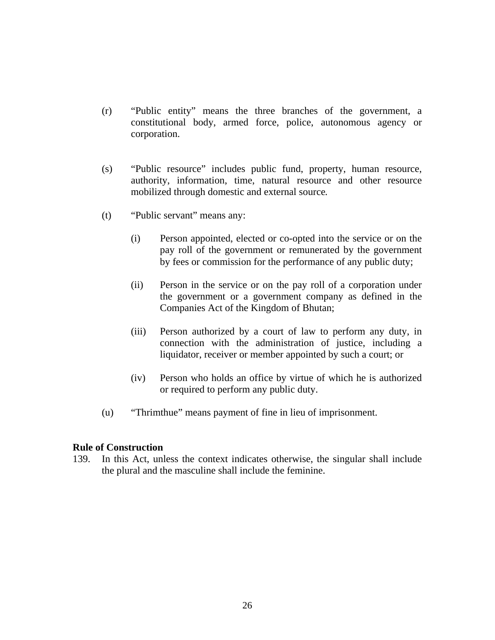- (r) "Public entity" means the three branches of the government, a constitutional body, armed force, police, autonomous agency or corporation.
- (s) "Public resource" includes public fund, property, human resource, authority, information, time, natural resource and other resource mobilized through domestic and external source*.*
- (t) "Public servant" means any:
	- (i) Person appointed, elected or co-opted into the service or on the pay roll of the government or remunerated by the government by fees or commission for the performance of any public duty;
	- (ii) Person in the service or on the pay roll of a corporation under the government or a government company as defined in the Companies Act of the Kingdom of Bhutan;
	- (iii) Person authorized by a court of law to perform any duty, in connection with the administration of justice, including a liquidator, receiver or member appointed by such a court; or
	- (iv) Person who holds an office by virtue of which he is authorized or required to perform any public duty.
- (u) "Thrimthue" means payment of fine in lieu of imprisonment.

#### **Rule of Construction**

139. In this Act, unless the context indicates otherwise, the singular shall include the plural and the masculine shall include the feminine.